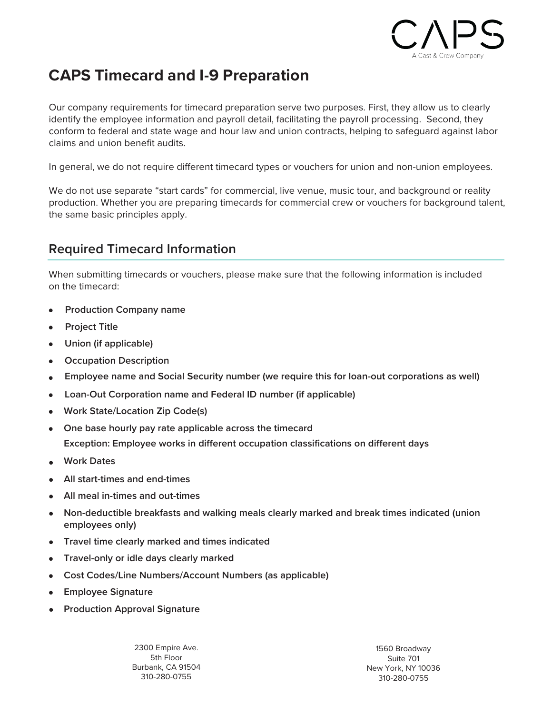

# **CAPS Timecard and I-9 Preparation**

Our company requirements for timecard preparation serve two purposes. First, they allow us to clearly identify the employee information and payroll detail, facilitating the payroll processing. Second, they conform to federal and state wage and hour law and union contracts, helping to safeguard against labor claims and union benefit audits.

In general, we do not require different timecard types or vouchers for union and non-union employees.

We do not use separate "start cards" for commercial, live venue, music tour, and background or reality production. Whether you are preparing timecards for commercial crew or vouchers for background talent, the same basic principles apply.

### **Required Timecard Information**

When submitting timecards or vouchers, please make sure that the following information is included on the timecard:

- **Production Company name**
- **Project Title**
- **Union (if applicable)**
- **Occupation Description**
- **Employee name and Social Security number (we require this for loan-out corporations as well)**
- **Loan-Out Corporation name and Federal ID number (if applicable)**
- **Work State/Location Zip Code(s)**
- **One base hourly pay rate applicable across the timecard Exception: Employee works in different occupation classifications on different days**
- **Work Dates**
- **All start-times and end-times**
- **All meal in-times and out-times**
- **Non-deductible breakfasts and walking meals clearly marked and break times indicated (union employees only)**
- **Travel time clearly marked and times indicated**
- **Travel-only or idle days clearly marked**
- **Cost Codes/Line Numbers/Account Numbers (as applicable)**
- **Employee Signature**
- **Production Approval Signature**

2300 Empire Ave. 5th Floor Burbank, CA 91504 310-280-0755

1560 Broadway Suite 701 New York, NY 10036 310-280-0755